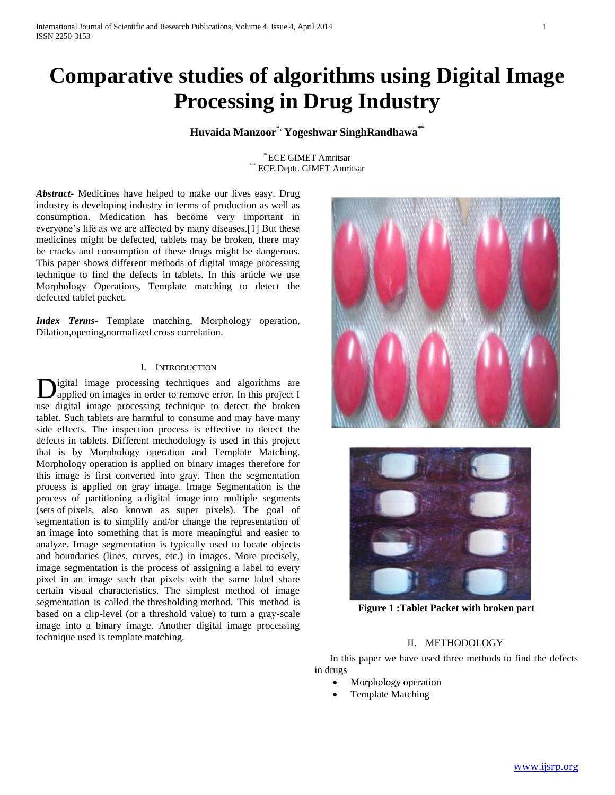# **Comparative studies of algorithms using Digital Image Processing in Drug Industry**

# **Huvaida Manzoor\*, Yogeshwar SinghRandhawa\*\***

\* ECE GIMET Amritsar ECE Deptt. GIMET Amritsar

*Abstract***-** Medicines have helped to make our lives easy. Drug industry is developing industry in terms of production as well as consumption. Medication has become very important in everyone's life as we are affected by many diseases.[1] But these medicines might be defected, tablets may be broken, there may be cracks and consumption of these drugs might be dangerous. This paper shows different methods of digital image processing technique to find the defects in tablets. In this article we use Morphology Operations, Template matching to detect the defected tablet packet.

*Index Terms*- Template matching, Morphology operation, Dilation,opening,normalized cross correlation.

#### I. INTRODUCTION

igital image processing techniques and algorithms are applied on images in order to remove error. In this project I use digital image processing technique to detect the broken tablet. Such tablets are harmful to consume and may have many side effects. The inspection process is effective to detect the defects in tablets. Different methodology is used in this project that is by Morphology operation and Template Matching. Morphology operation is applied on binary images therefore for this image is first converted into gray. Then the segmentation process is applied on gray image. Image Segmentation is the process of partitioning a digital image into multiple segments (sets of pixels, also known as super pixels). The goal of segmentation is to simplify and/or change the representation of an image into something that is more meaningful and easier to analyze. Image segmentation is typically used to locate objects and boundaries (lines, curves, etc.) in images. More precisely, image segmentation is the process of assigning a label to every pixel in an image such that pixels with the same label share certain visual characteristics. The simplest method of image segmentation is called the thresholding method. This method is based on a clip-level (or a threshold value) to turn a gray-scale image into a binary image. Another digital image processing technique used is template matching. D





**Figure 1 :Tablet Packet with broken part**

### II. METHODOLOGY

 In this paper we have used three methods to find the defects in drugs

- Morphology operation
- Template Matching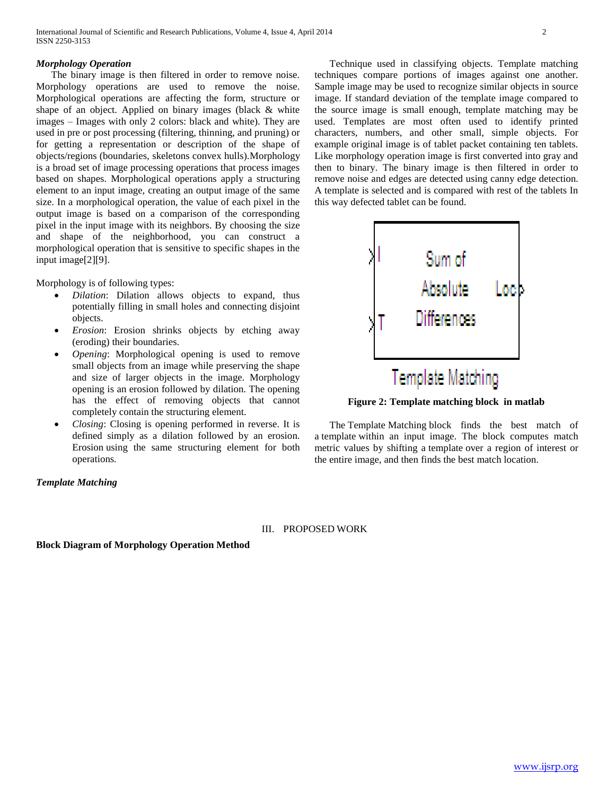#### *Morphology Operation*

 The binary image is then filtered in order to remove noise. Morphology operations are used to remove the noise. Morphological operations are affecting the form, structure or shape of an object. Applied on binary images (black & white images – Images with only 2 colors: black and white). They are used in pre or post processing (filtering, thinning, and pruning) or for getting a representation or description of the shape of objects/regions (boundaries, skeletons convex hulls).Morphology is a broad set of image processing operations that process images based on shapes. Morphological operations apply a structuring element to an input image, creating an output image of the same size. In a morphological operation, the value of each pixel in the output image is based on a comparison of the corresponding pixel in the input image with its neighbors. By choosing the size and shape of the neighborhood, you can construct a morphological operation that is sensitive to specific shapes in the input image[2][9].

Morphology is of following types:

- *Dilation*: Dilation allows objects to expand, thus potentially filling in small holes and connecting disjoint objects.
- *Erosion*: Erosion shrinks objects by etching away (eroding) their boundaries.
- *Opening*: Morphological opening is used to remove small objects from an image while preserving the shape and size of larger objects in the image. Morphology opening is an erosion followed by dilation. The opening has the effect of removing objects that cannot completely contain the structuring element.
- *Closing*: Closing is opening performed in reverse. It is defined simply as a dilation followed by an erosion. Erosion using the same structuring element for both operations*.*

*Template Matching*

# Technique used in classifying objects. Template matching techniques compare portions of images against one another. Sample image may be used to recognize similar objects in source image. If standard deviation of the template image compared to the source image is small enough, template matching may be used. Templates are most often used to identify printed characters, numbers, and other small, simple objects. For example original image is of tablet packet containing ten tablets. Like morphology operation image is first converted into gray and then to binary. The binary image is then filtered in order to remove noise and edges are detected using canny edge detection. A template is selected and is compared with rest of the tablets In this way defected tablet can be found.



**Figure 2: Template matching block in matlab**

 The Template Matching block finds the best match of a template within an input image. The block computes match metric values by shifting a template over a region of interest or the entire image, and then finds the best match location.

#### III. PROPOSED WORK

**Block Diagram of Morphology Operation Method**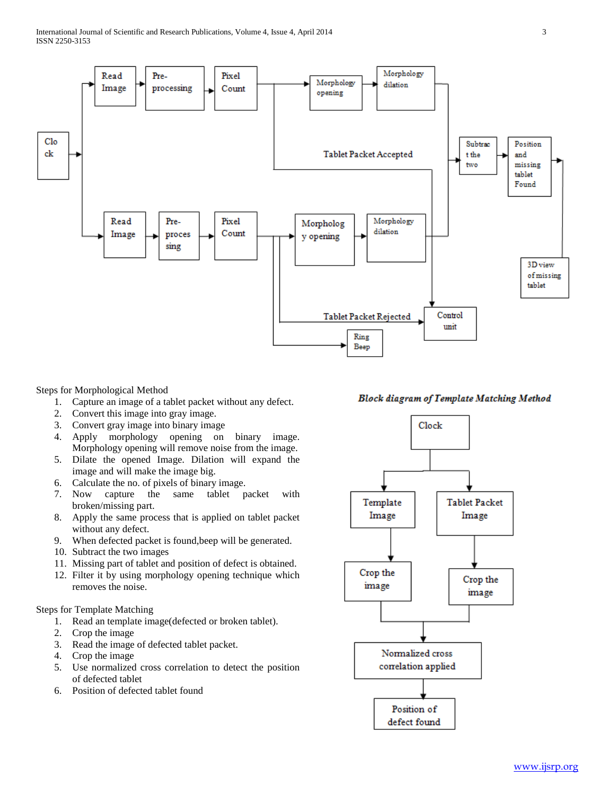

Steps for Morphological Method

- 1. Capture an image of a tablet packet without any defect.
- 2. Convert this image into gray image.
- 3. Convert gray image into binary image
- 4. Apply morphology opening on binary image. Morphology opening will remove noise from the image.
- 5. Dilate the opened Image. Dilation will expand the image and will make the image big.
- 6. Calculate the no. of pixels of binary image.
- 7. Now capture the same tablet packet with broken/missing part.
- 8. Apply the same process that is applied on tablet packet without any defect.
- 9. When defected packet is found,beep will be generated.
- 10. Subtract the two images
- 11. Missing part of tablet and position of defect is obtained.
- 12. Filter it by using morphology opening technique which removes the noise.

#### Steps for Template Matching

- 1. Read an template image(defected or broken tablet).
- 2. Crop the image
- 3. Read the image of defected tablet packet.
- 4. Crop the image
- 5. Use normalized cross correlation to detect the position of defected tablet
- 6. Position of defected tablet found

# **Block diagram of Template Matching Method**

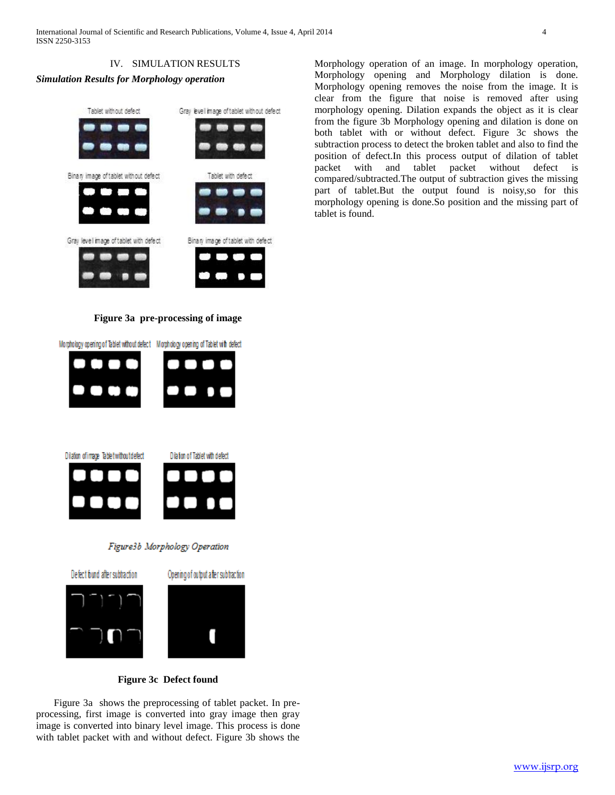

# *Simulation Results for Morphology operation*



**Figure 3a pre-processing of image**

Morphology opening of Tablet without defect Morphology opening of Tablet with defect



Morphology opening removes the noise from the image. It is clear from the figure that noise is removed after using morphology opening. Dilation expands the object as it is clear from the figure 3b Morphology opening and dilation is done on both tablet with or without defect. Figure 3c shows the subtraction process to detect the broken tablet and also to find the position of defect.In this process output of dilation of tablet packet with and tablet packet without defect is compared/subtracted.The output of subtraction gives the missing part of tablet.But the output found is noisy,so for this morphology opening is done.So position and the missing part of tablet is found.

Morphology operation of an image. In morphology operation, Morphology opening and Morphology dilation is done.

# **Figure 3c Defect found**

 Figure 3a shows the preprocessing of tablet packet. In preprocessing, first image is converted into gray image then gray image is converted into binary level image. This process is done with tablet packet with and without defect. Figure 3b shows the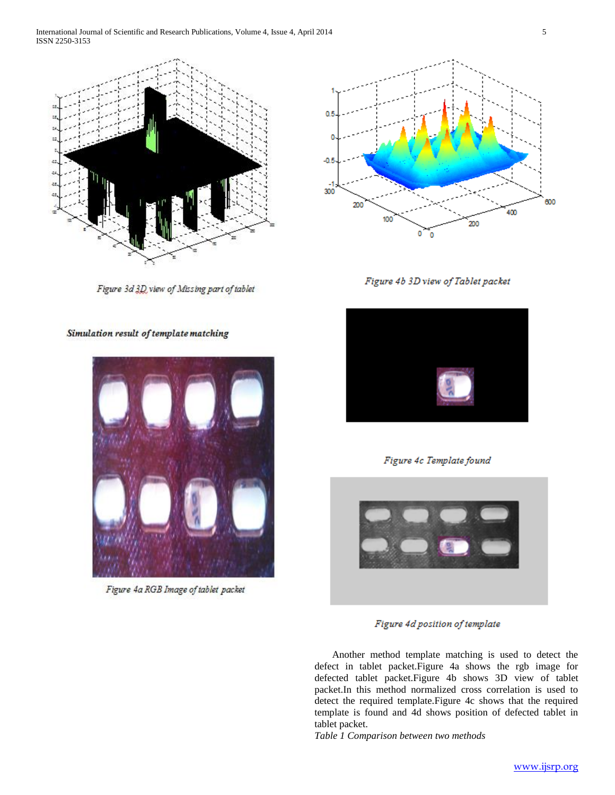International Journal of Scientific and Research Publications, Volume 4, Issue 4, April 2014 5 ISSN 2250-3153



Figure 3d 3D view of Missing part of tablet

Simulation result of template matching



Figure 4a RGB Image of tablet packet



Figure 4b 3D view of Tablet packet



Figure 4c Template found



Figure 4d position of template

 Another method template matching is used to detect the defect in tablet packet.Figure 4a shows the rgb image for defected tablet packet.Figure 4b shows 3D view of tablet packet.In this method normalized cross correlation is used to detect the required template.Figure 4c shows that the required template is found and 4d shows position of defected tablet in tablet packet.

*Table 1 Comparison between two methods*